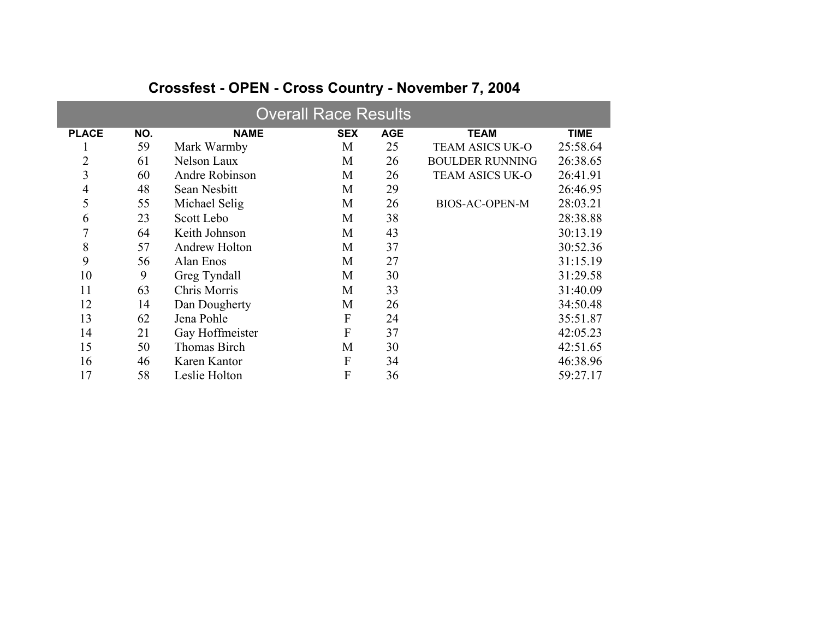| <b>Overall Race Results</b> |     |                      |            |            |                        |             |  |  |  |  |  |
|-----------------------------|-----|----------------------|------------|------------|------------------------|-------------|--|--|--|--|--|
| <b>PLACE</b>                | NO. | <b>NAME</b>          | <b>SEX</b> | <b>AGE</b> | <b>TEAM</b>            | <b>TIME</b> |  |  |  |  |  |
|                             | 59  | Mark Warmby          | M          | 25         | <b>TEAM ASICS UK-O</b> | 25:58.64    |  |  |  |  |  |
| $\overline{2}$              | 61  | Nelson Laux          | M          | 26         | <b>BOULDER RUNNING</b> | 26:38.65    |  |  |  |  |  |
| 3                           | 60  | Andre Robinson       | M          | 26         | <b>TEAM ASICS UK-O</b> | 26:41.91    |  |  |  |  |  |
| 4                           | 48  | Sean Nesbitt         | M          | 29         |                        | 26:46.95    |  |  |  |  |  |
| 5                           | 55  | Michael Selig        | M          | 26         | <b>BIOS-AC-OPEN-M</b>  | 28:03.21    |  |  |  |  |  |
| 6                           | 23  | Scott Lebo           | M          | 38         |                        | 28:38.88    |  |  |  |  |  |
| 7                           | 64  | Keith Johnson        | M          | 43         |                        | 30:13.19    |  |  |  |  |  |
| 8                           | 57  | <b>Andrew Holton</b> | M          | 37         |                        | 30:52.36    |  |  |  |  |  |
| 9                           | 56  | Alan Enos            | M          | 27         |                        | 31:15.19    |  |  |  |  |  |
| 10                          | 9   | Greg Tyndall         | M          | 30         |                        | 31:29.58    |  |  |  |  |  |
| 11                          | 63  | Chris Morris         | M          | 33         |                        | 31:40.09    |  |  |  |  |  |
| 12                          | 14  | Dan Dougherty        | M          | 26         |                        | 34:50.48    |  |  |  |  |  |
| 13                          | 62  | Jena Pohle           | F          | 24         |                        | 35:51.87    |  |  |  |  |  |
| 14                          | 21  | Gay Hoffmeister      | F          | 37         |                        | 42:05.23    |  |  |  |  |  |
| 15                          | 50  | Thomas Birch         | M          | 30         |                        | 42:51.65    |  |  |  |  |  |
| 16                          | 46  | Karen Kantor         | F          | 34         |                        | 46:38.96    |  |  |  |  |  |
| 17                          | 58  | Leslie Holton        | F          | 36         |                        | 59:27.17    |  |  |  |  |  |

## **Crossfest - OPEN - Cross Country - November 7, 2004**